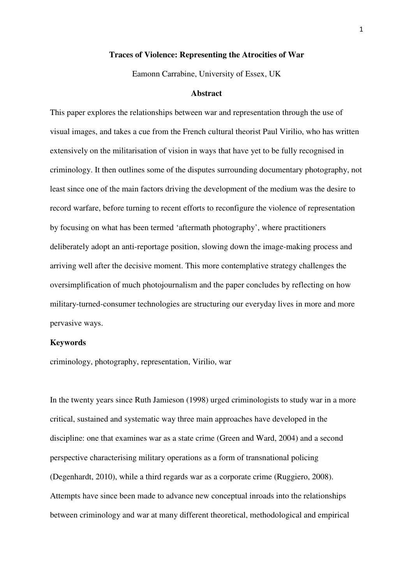#### **Traces of Violence: Representing the Atrocities of War**

Eamonn Carrabine, University of Essex, UK

#### **Abstract**

This paper explores the relationships between war and representation through the use of visual images, and takes a cue from the French cultural theorist Paul Virilio, who has written extensively on the militarisation of vision in ways that have yet to be fully recognised in criminology. It then outlines some of the disputes surrounding documentary photography, not least since one of the main factors driving the development of the medium was the desire to record warfare, before turning to recent efforts to reconfigure the violence of representation by focusing on what has been termed 'aftermath photography', where practitioners deliberately adopt an anti-reportage position, slowing down the image-making process and arriving well after the decisive moment. This more contemplative strategy challenges the oversimplification of much photojournalism and the paper concludes by reflecting on how military-turned-consumer technologies are structuring our everyday lives in more and more pervasive ways.

### **Keywords**

criminology, photography, representation, Virilio, war

In the twenty years since Ruth Jamieson (1998) urged criminologists to study war in a more critical, sustained and systematic way three main approaches have developed in the discipline: one that examines war as a state crime (Green and Ward, 2004) and a second perspective characterising military operations as a form of transnational policing (Degenhardt, 2010), while a third regards war as a corporate crime (Ruggiero, 2008). Attempts have since been made to advance new conceptual inroads into the relationships between criminology and war at many different theoretical, methodological and empirical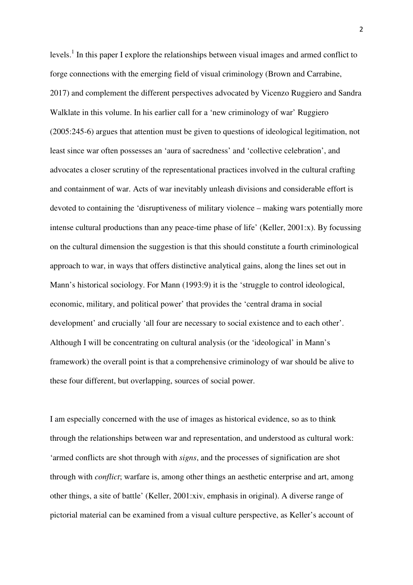levels.<sup>1</sup> In this paper I explore the relationships between visual images and armed conflict to forge connections with the emerging field of visual criminology (Brown and Carrabine, 2017) and complement the different perspectives advocated by Vicenzo Ruggiero and Sandra Walklate in this volume. In his earlier call for a 'new criminology of war' Ruggiero (2005:245-6) argues that attention must be given to questions of ideological legitimation, not least since war often possesses an 'aura of sacredness' and 'collective celebration', and advocates a closer scrutiny of the representational practices involved in the cultural crafting and containment of war. Acts of war inevitably unleash divisions and considerable effort is devoted to containing the 'disruptiveness of military violence – making wars potentially more intense cultural productions than any peace-time phase of life' (Keller, 2001:x). By focussing on the cultural dimension the suggestion is that this should constitute a fourth criminological approach to war, in ways that offers distinctive analytical gains, along the lines set out in Mann's historical sociology. For Mann (1993:9) it is the 'struggle to control ideological, economic, military, and political power' that provides the 'central drama in social development' and crucially 'all four are necessary to social existence and to each other'. Although I will be concentrating on cultural analysis (or the 'ideological' in Mann's framework) the overall point is that a comprehensive criminology of war should be alive to these four different, but overlapping, sources of social power.

I am especially concerned with the use of images as historical evidence, so as to think through the relationships between war and representation, and understood as cultural work: 'armed conflicts are shot through with *signs*, and the processes of signification are shot through with *conflict*; warfare is, among other things an aesthetic enterprise and art, among other things, a site of battle' (Keller, 2001:xiv, emphasis in original). A diverse range of pictorial material can be examined from a visual culture perspective, as Keller's account of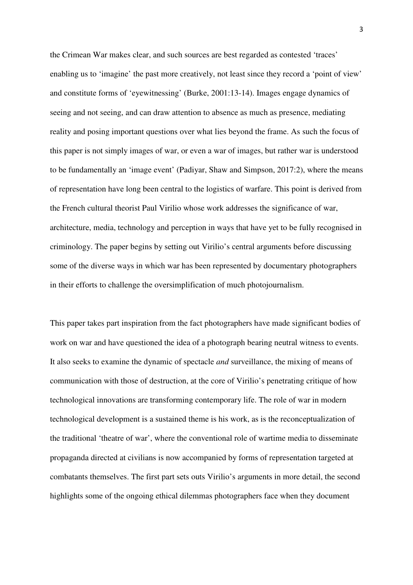the Crimean War makes clear, and such sources are best regarded as contested 'traces' enabling us to 'imagine' the past more creatively, not least since they record a 'point of view' and constitute forms of 'eyewitnessing' (Burke, 2001:13-14). Images engage dynamics of seeing and not seeing, and can draw attention to absence as much as presence, mediating reality and posing important questions over what lies beyond the frame. As such the focus of this paper is not simply images of war, or even a war of images, but rather war is understood to be fundamentally an 'image event' (Padiyar, Shaw and Simpson, 2017:2), where the means of representation have long been central to the logistics of warfare. This point is derived from the French cultural theorist Paul Virilio whose work addresses the significance of war, architecture, media, technology and perception in ways that have yet to be fully recognised in criminology. The paper begins by setting out Virilio's central arguments before discussing some of the diverse ways in which war has been represented by documentary photographers in their efforts to challenge the oversimplification of much photojournalism.

This paper takes part inspiration from the fact photographers have made significant bodies of work on war and have questioned the idea of a photograph bearing neutral witness to events. It also seeks to examine the dynamic of spectacle *and* surveillance, the mixing of means of communication with those of destruction, at the core of Virilio's penetrating critique of how technological innovations are transforming contemporary life. The role of war in modern technological development is a sustained theme is his work, as is the reconceptualization of the traditional 'theatre of war', where the conventional role of wartime media to disseminate propaganda directed at civilians is now accompanied by forms of representation targeted at combatants themselves. The first part sets outs Virilio's arguments in more detail, the second highlights some of the ongoing ethical dilemmas photographers face when they document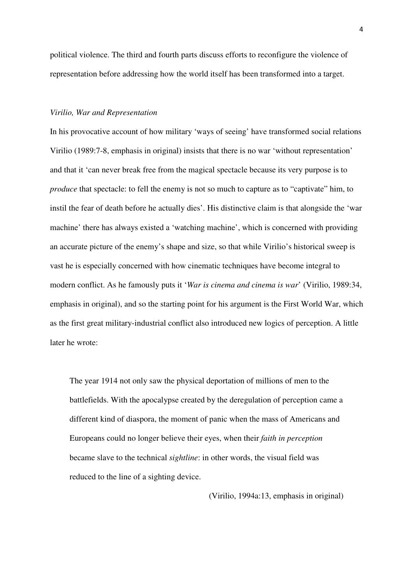political violence. The third and fourth parts discuss efforts to reconfigure the violence of representation before addressing how the world itself has been transformed into a target.

### *Virilio, War and Representation*

In his provocative account of how military 'ways of seeing' have transformed social relations Virilio (1989:7-8, emphasis in original) insists that there is no war 'without representation' and that it 'can never break free from the magical spectacle because its very purpose is to *produce* that spectacle: to fell the enemy is not so much to capture as to "captivate" him, to instil the fear of death before he actually dies'. His distinctive claim is that alongside the 'war machine' there has always existed a 'watching machine', which is concerned with providing an accurate picture of the enemy's shape and size, so that while Virilio's historical sweep is vast he is especially concerned with how cinematic techniques have become integral to modern conflict. As he famously puts it '*War is cinema and cinema is war*' (Virilio, 1989:34, emphasis in original), and so the starting point for his argument is the First World War, which as the first great military-industrial conflict also introduced new logics of perception. A little later he wrote:

The year 1914 not only saw the physical deportation of millions of men to the battlefields. With the apocalypse created by the deregulation of perception came a different kind of diaspora, the moment of panic when the mass of Americans and Europeans could no longer believe their eyes, when their *faith in perception* became slave to the technical *sightline*: in other words, the visual field was reduced to the line of a sighting device.

(Virilio, 1994a:13, emphasis in original)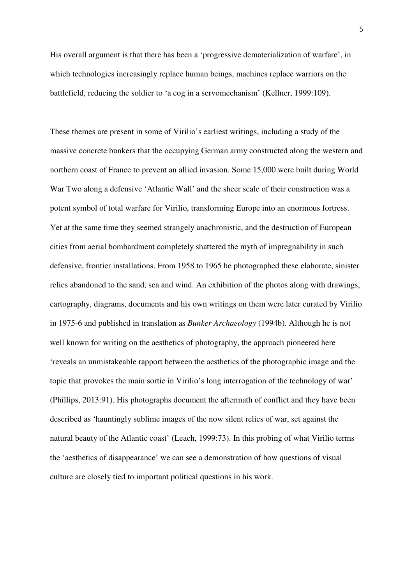His overall argument is that there has been a 'progressive dematerialization of warfare', in which technologies increasingly replace human beings, machines replace warriors on the battlefield, reducing the soldier to 'a cog in a servomechanism' (Kellner, 1999:109).

These themes are present in some of Virilio's earliest writings, including a study of the massive concrete bunkers that the occupying German army constructed along the western and northern coast of France to prevent an allied invasion. Some 15,000 were built during World War Two along a defensive 'Atlantic Wall' and the sheer scale of their construction was a potent symbol of total warfare for Virilio, transforming Europe into an enormous fortress. Yet at the same time they seemed strangely anachronistic, and the destruction of European cities from aerial bombardment completely shattered the myth of impregnability in such defensive, frontier installations. From 1958 to 1965 he photographed these elaborate, sinister relics abandoned to the sand, sea and wind. An exhibition of the photos along with drawings, cartography, diagrams, documents and his own writings on them were later curated by Virilio in 1975-6 and published in translation as *Bunker Archaeology* (1994b). Although he is not well known for writing on the aesthetics of photography, the approach pioneered here 'reveals an unmistakeable rapport between the aesthetics of the photographic image and the topic that provokes the main sortie in Virilio's long interrogation of the technology of war' (Phillips, 2013:91). His photographs document the aftermath of conflict and they have been described as 'hauntingly sublime images of the now silent relics of war, set against the natural beauty of the Atlantic coast' (Leach, 1999:73). In this probing of what Virilio terms the 'aesthetics of disappearance' we can see a demonstration of how questions of visual culture are closely tied to important political questions in his work.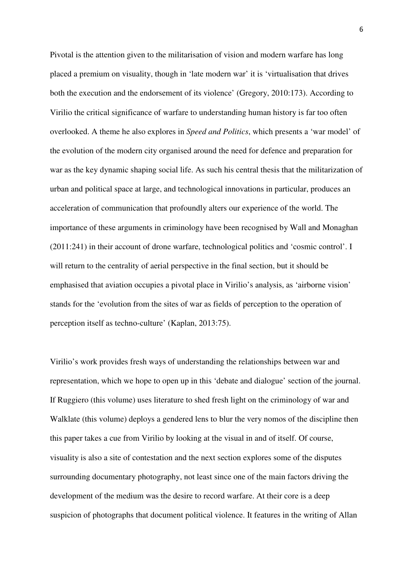Pivotal is the attention given to the militarisation of vision and modern warfare has long placed a premium on visuality, though in 'late modern war' it is 'virtualisation that drives both the execution and the endorsement of its violence' (Gregory, 2010:173). According to Virilio the critical significance of warfare to understanding human history is far too often overlooked. A theme he also explores in *Speed and Politics*, which presents a 'war model' of the evolution of the modern city organised around the need for defence and preparation for war as the key dynamic shaping social life. As such his central thesis that the militarization of urban and political space at large, and technological innovations in particular, produces an acceleration of communication that profoundly alters our experience of the world. The importance of these arguments in criminology have been recognised by Wall and Monaghan (2011:241) in their account of drone warfare, technological politics and 'cosmic control'. I will return to the centrality of aerial perspective in the final section, but it should be emphasised that aviation occupies a pivotal place in Virilio's analysis, as 'airborne vision' stands for the 'evolution from the sites of war as fields of perception to the operation of perception itself as techno-culture' (Kaplan, 2013:75).

Virilio's work provides fresh ways of understanding the relationships between war and representation, which we hope to open up in this 'debate and dialogue' section of the journal. If Ruggiero (this volume) uses literature to shed fresh light on the criminology of war and Walklate (this volume) deploys a gendered lens to blur the very nomos of the discipline then this paper takes a cue from Virilio by looking at the visual in and of itself. Of course, visuality is also a site of contestation and the next section explores some of the disputes surrounding documentary photography, not least since one of the main factors driving the development of the medium was the desire to record warfare. At their core is a deep suspicion of photographs that document political violence. It features in the writing of Allan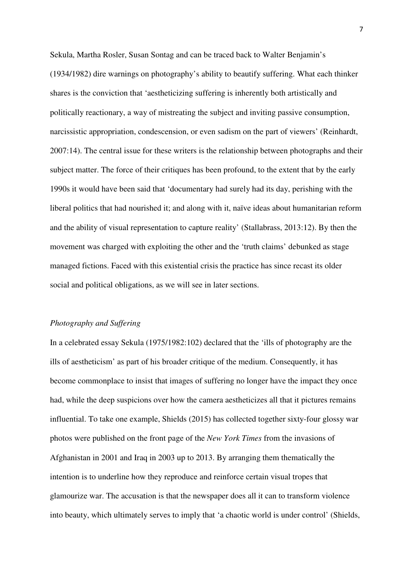Sekula, Martha Rosler, Susan Sontag and can be traced back to Walter Benjamin's (1934/1982) dire warnings on photography's ability to beautify suffering. What each thinker shares is the conviction that 'aestheticizing suffering is inherently both artistically and politically reactionary, a way of mistreating the subject and inviting passive consumption, narcissistic appropriation, condescension, or even sadism on the part of viewers' (Reinhardt, 2007:14). The central issue for these writers is the relationship between photographs and their subject matter. The force of their critiques has been profound, to the extent that by the early 1990s it would have been said that 'documentary had surely had its day, perishing with the liberal politics that had nourished it; and along with it, naïve ideas about humanitarian reform and the ability of visual representation to capture reality' (Stallabrass, 2013:12). By then the movement was charged with exploiting the other and the 'truth claims' debunked as stage managed fictions. Faced with this existential crisis the practice has since recast its older social and political obligations, as we will see in later sections.

# *Photography and Suffering*

In a celebrated essay Sekula (1975/1982:102) declared that the 'ills of photography are the ills of aestheticism' as part of his broader critique of the medium. Consequently, it has become commonplace to insist that images of suffering no longer have the impact they once had, while the deep suspicions over how the camera aestheticizes all that it pictures remains influential. To take one example, Shields (2015) has collected together sixty-four glossy war photos were published on the front page of the *New York Times* from the invasions of Afghanistan in 2001 and Iraq in 2003 up to 2013. By arranging them thematically the intention is to underline how they reproduce and reinforce certain visual tropes that glamourize war. The accusation is that the newspaper does all it can to transform violence into beauty, which ultimately serves to imply that 'a chaotic world is under control' (Shields,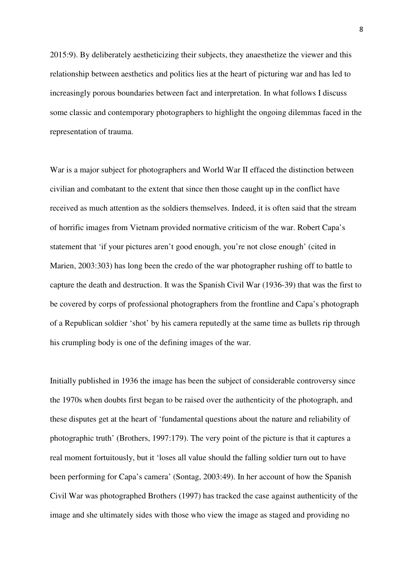2015:9). By deliberately aestheticizing their subjects, they anaesthetize the viewer and this relationship between aesthetics and politics lies at the heart of picturing war and has led to increasingly porous boundaries between fact and interpretation. In what follows I discuss some classic and contemporary photographers to highlight the ongoing dilemmas faced in the representation of trauma.

War is a major subject for photographers and World War II effaced the distinction between civilian and combatant to the extent that since then those caught up in the conflict have received as much attention as the soldiers themselves. Indeed, it is often said that the stream of horrific images from Vietnam provided normative criticism of the war. Robert Capa's statement that 'if your pictures aren't good enough, you're not close enough' (cited in Marien, 2003:303) has long been the credo of the war photographer rushing off to battle to capture the death and destruction. It was the Spanish Civil War (1936-39) that was the first to be covered by corps of professional photographers from the frontline and Capa's photograph of a Republican soldier 'shot' by his camera reputedly at the same time as bullets rip through his crumpling body is one of the defining images of the war.

Initially published in 1936 the image has been the subject of considerable controversy since the 1970s when doubts first began to be raised over the authenticity of the photograph, and these disputes get at the heart of 'fundamental questions about the nature and reliability of photographic truth' (Brothers, 1997:179). The very point of the picture is that it captures a real moment fortuitously, but it 'loses all value should the falling soldier turn out to have been performing for Capa's camera' (Sontag, 2003:49). In her account of how the Spanish Civil War was photographed Brothers (1997) has tracked the case against authenticity of the image and she ultimately sides with those who view the image as staged and providing no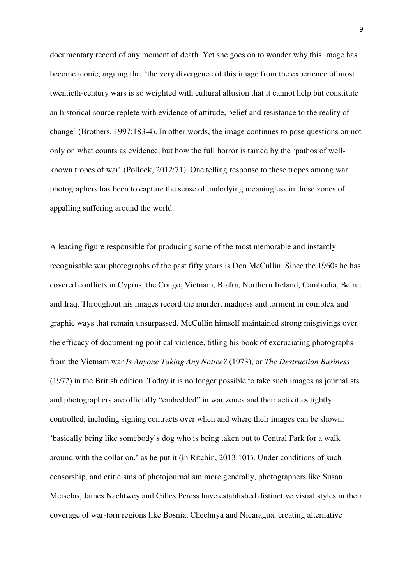documentary record of any moment of death. Yet she goes on to wonder why this image has become iconic, arguing that 'the very divergence of this image from the experience of most twentieth-century wars is so weighted with cultural allusion that it cannot help but constitute an historical source replete with evidence of attitude, belief and resistance to the reality of change' (Brothers, 1997:183-4). In other words, the image continues to pose questions on not only on what counts as evidence, but how the full horror is tamed by the 'pathos of wellknown tropes of war' (Pollock, 2012:71). One telling response to these tropes among war photographers has been to capture the sense of underlying meaningless in those zones of appalling suffering around the world.

A leading figure responsible for producing some of the most memorable and instantly recognisable war photographs of the past fifty years is Don McCullin. Since the 1960s he has covered conflicts in Cyprus, the Congo, Vietnam, Biafra, Northern Ireland, Cambodia, Beirut and Iraq. Throughout his images record the murder, madness and torment in complex and graphic ways that remain unsurpassed. McCullin himself maintained strong misgivings over the efficacy of documenting political violence, titling his book of excruciating photographs from the Vietnam war *Is Anyone Taking Any Notice?* (1973), or *The Destruction Business* (1972) in the British edition. Today it is no longer possible to take such images as journalists and photographers are officially "embedded" in war zones and their activities tightly controlled, including signing contracts over when and where their images can be shown: 'basically being like somebody's dog who is being taken out to Central Park for a walk around with the collar on,' as he put it (in Ritchin, 2013:101). Under conditions of such censorship, and criticisms of photojournalism more generally, photographers like Susan Meiselas, James Nachtwey and Gilles Peress have established distinctive visual styles in their coverage of war-torn regions like Bosnia, Chechnya and Nicaragua, creating alternative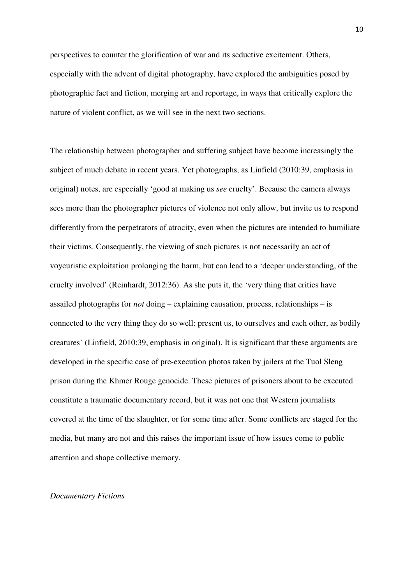perspectives to counter the glorification of war and its seductive excitement. Others, especially with the advent of digital photography, have explored the ambiguities posed by photographic fact and fiction, merging art and reportage, in ways that critically explore the nature of violent conflict, as we will see in the next two sections.

The relationship between photographer and suffering subject have become increasingly the subject of much debate in recent years. Yet photographs, as Linfield (2010:39, emphasis in original) notes, are especially 'good at making us *see* cruelty'. Because the camera always sees more than the photographer pictures of violence not only allow, but invite us to respond differently from the perpetrators of atrocity, even when the pictures are intended to humiliate their victims. Consequently, the viewing of such pictures is not necessarily an act of voyeuristic exploitation prolonging the harm, but can lead to a 'deeper understanding, of the cruelty involved' (Reinhardt, 2012:36). As she puts it, the 'very thing that critics have assailed photographs for *not* doing – explaining causation, process, relationships – is connected to the very thing they do so well: present us, to ourselves and each other, as bodily creatures' (Linfield, 2010:39, emphasis in original). It is significant that these arguments are developed in the specific case of pre-execution photos taken by jailers at the Tuol Sleng prison during the Khmer Rouge genocide. These pictures of prisoners about to be executed constitute a traumatic documentary record, but it was not one that Western journalists covered at the time of the slaughter, or for some time after. Some conflicts are staged for the media, but many are not and this raises the important issue of how issues come to public attention and shape collective memory.

### *Documentary Fictions*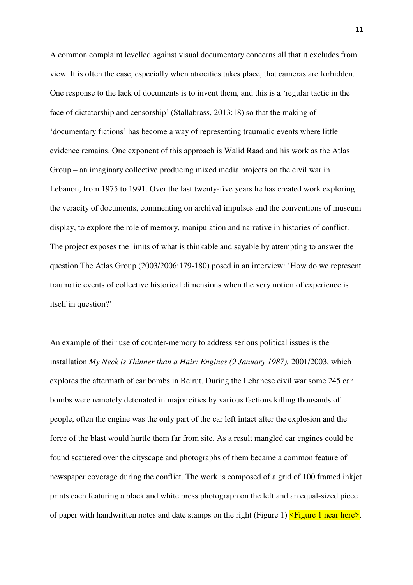A common complaint levelled against visual documentary concerns all that it excludes from view. It is often the case, especially when atrocities takes place, that cameras are forbidden. One response to the lack of documents is to invent them, and this is a 'regular tactic in the face of dictatorship and censorship' (Stallabrass, 2013:18) so that the making of 'documentary fictions' has become a way of representing traumatic events where little evidence remains. One exponent of this approach is Walid Raad and his work as the Atlas Group – an imaginary collective producing mixed media projects on the civil war in Lebanon, from 1975 to 1991. Over the last twenty-five years he has created work exploring the veracity of documents, commenting on archival impulses and the conventions of museum display, to explore the role of memory, manipulation and narrative in histories of conflict. The project exposes the limits of what is thinkable and sayable by attempting to answer the question The Atlas Group (2003/2006:179-180) posed in an interview: 'How do we represent traumatic events of collective historical dimensions when the very notion of experience is itself in question?'

An example of their use of counter-memory to address serious political issues is the installation *My Neck is Thinner than a Hair: Engines (9 January 1987),* 2001/2003, which explores the aftermath of car bombs in Beirut. During the Lebanese civil war some 245 car bombs were remotely detonated in major cities by various factions killing thousands of people, often the engine was the only part of the car left intact after the explosion and the force of the blast would hurtle them far from site. As a result mangled car engines could be found scattered over the cityscape and photographs of them became a common feature of newspaper coverage during the conflict. The work is composed of a grid of 100 framed inkjet prints each featuring a black and white press photograph on the left and an equal-sized piece of paper with handwritten notes and date stamps on the right (Figure 1)  $\leq$  Figure 1 near here  $\geq$ .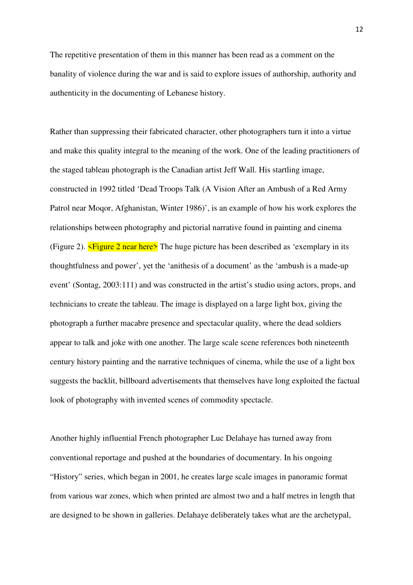The repetitive presentation of them in this manner has been read as a comment on the banality of violence during the war and is said to explore issues of authorship, authority and authenticity in the documenting of Lebanese history.

Rather than suppressing their fabricated character, other photographers turn it into a virtue and make this quality integral to the meaning of the work. One of the leading practitioners of the staged tableau photograph is the Canadian artist Jeff Wall. His startling image, constructed in 1992 titled 'Dead Troops Talk (A Vision After an Ambush of a Red Army Patrol near Moqor, Afghanistan, Winter 1986)', is an example of how his work explores the relationships between photography and pictorial narrative found in painting and cinema (Figure 2).  $\leq$  Figure 2 near here> The huge picture has been described as 'exemplary in its thoughtfulness and power', yet the 'anithesis of a document' as the 'ambush is a made-up event' (Sontag, 2003:111) and was constructed in the artist's studio using actors, props, and technicians to create the tableau. The image is displayed on a large light box, giving the photograph a further macabre presence and spectacular quality, where the dead soldiers appear to talk and joke with one another. The large scale scene references both nineteenth century history painting and the narrative techniques of cinema, while the use of a light box suggests the backlit, billboard advertisements that themselves have long exploited the factual look of photography with invented scenes of commodity spectacle.

Another highly influential French photographer Luc Delahaye has turned away from conventional reportage and pushed at the boundaries of documentary. In his ongoing "History" series, which began in 2001, he creates large scale images in panoramic format from various war zones, which when printed are almost two and a half metres in length that are designed to be shown in galleries. Delahaye deliberately takes what are the archetypal,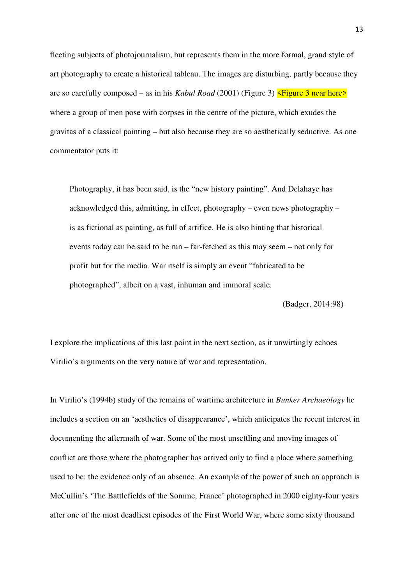fleeting subjects of photojournalism, but represents them in the more formal, grand style of art photography to create a historical tableau. The images are disturbing, partly because they are so carefully composed – as in his *Kabul Road* (2001) (Figure 3)  $\leq$  Figure 3 near here> where a group of men pose with corpses in the centre of the picture, which exudes the gravitas of a classical painting – but also because they are so aesthetically seductive. As one commentator puts it:

Photography, it has been said, is the "new history painting". And Delahaye has acknowledged this, admitting, in effect, photography – even news photography – is as fictional as painting, as full of artifice. He is also hinting that historical events today can be said to be run – far-fetched as this may seem – not only for profit but for the media. War itself is simply an event "fabricated to be photographed", albeit on a vast, inhuman and immoral scale.

(Badger, 2014:98)

I explore the implications of this last point in the next section, as it unwittingly echoes Virilio's arguments on the very nature of war and representation.

In Virilio's (1994b) study of the remains of wartime architecture in *Bunker Archaeology* he includes a section on an 'aesthetics of disappearance', which anticipates the recent interest in documenting the aftermath of war. Some of the most unsettling and moving images of conflict are those where the photographer has arrived only to find a place where something used to be: the evidence only of an absence. An example of the power of such an approach is McCullin's 'The Battlefields of the Somme, France' photographed in 2000 eighty-four years after one of the most deadliest episodes of the First World War, where some sixty thousand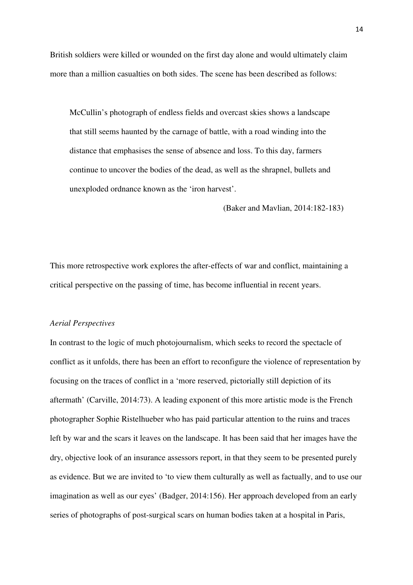British soldiers were killed or wounded on the first day alone and would ultimately claim more than a million casualties on both sides. The scene has been described as follows:

McCullin's photograph of endless fields and overcast skies shows a landscape that still seems haunted by the carnage of battle, with a road winding into the distance that emphasises the sense of absence and loss. To this day, farmers continue to uncover the bodies of the dead, as well as the shrapnel, bullets and unexploded ordnance known as the 'iron harvest'.

(Baker and Mavlian, 2014:182-183)

This more retrospective work explores the after-effects of war and conflict, maintaining a critical perspective on the passing of time, has become influential in recent years.

#### *Aerial Perspectives*

In contrast to the logic of much photojournalism, which seeks to record the spectacle of conflict as it unfolds, there has been an effort to reconfigure the violence of representation by focusing on the traces of conflict in a 'more reserved, pictorially still depiction of its aftermath' (Carville, 2014:73). A leading exponent of this more artistic mode is the French photographer Sophie Ristelhueber who has paid particular attention to the ruins and traces left by war and the scars it leaves on the landscape. It has been said that her images have the dry, objective look of an insurance assessors report, in that they seem to be presented purely as evidence. But we are invited to 'to view them culturally as well as factually, and to use our imagination as well as our eyes' (Badger, 2014:156). Her approach developed from an early series of photographs of post-surgical scars on human bodies taken at a hospital in Paris,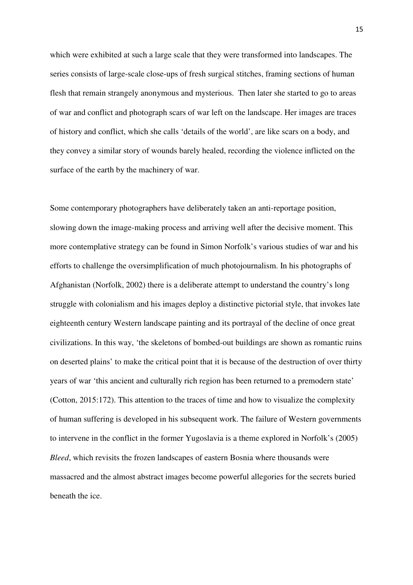which were exhibited at such a large scale that they were transformed into landscapes. The series consists of large-scale close-ups of fresh surgical stitches, framing sections of human flesh that remain strangely anonymous and mysterious. Then later she started to go to areas of war and conflict and photograph scars of war left on the landscape. Her images are traces of history and conflict, which she calls 'details of the world', are like scars on a body, and they convey a similar story of wounds barely healed, recording the violence inflicted on the surface of the earth by the machinery of war.

Some contemporary photographers have deliberately taken an anti-reportage position, slowing down the image-making process and arriving well after the decisive moment. This more contemplative strategy can be found in Simon Norfolk's various studies of war and his efforts to challenge the oversimplification of much photojournalism. In his photographs of Afghanistan (Norfolk, 2002) there is a deliberate attempt to understand the country's long struggle with colonialism and his images deploy a distinctive pictorial style, that invokes late eighteenth century Western landscape painting and its portrayal of the decline of once great civilizations. In this way, 'the skeletons of bombed-out buildings are shown as romantic ruins on deserted plains' to make the critical point that it is because of the destruction of over thirty years of war 'this ancient and culturally rich region has been returned to a premodern state' (Cotton, 2015:172). This attention to the traces of time and how to visualize the complexity of human suffering is developed in his subsequent work. The failure of Western governments to intervene in the conflict in the former Yugoslavia is a theme explored in Norfolk's (2005) *Bleed*, which revisits the frozen landscapes of eastern Bosnia where thousands were massacred and the almost abstract images become powerful allegories for the secrets buried beneath the ice.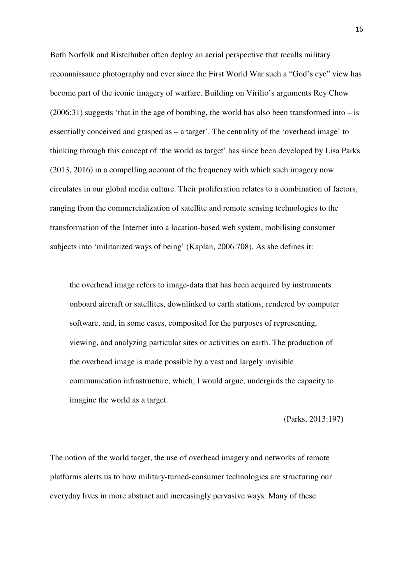Both Norfolk and Ristelhuber often deploy an aerial perspective that recalls military reconnaissance photography and ever since the First World War such a "God's eye" view has become part of the iconic imagery of warfare. Building on Virilio's arguments Rey Chow  $(2006:31)$  suggests 'that in the age of bombing, the world has also been transformed into – is essentially conceived and grasped as – a target'. The centrality of the 'overhead image' to thinking through this concept of 'the world as target' has since been developed by Lisa Parks (2013, 2016) in a compelling account of the frequency with which such imagery now circulates in our global media culture. Their proliferation relates to a combination of factors, ranging from the commercialization of satellite and remote sensing technologies to the transformation of the Internet into a location-based web system, mobilising consumer subjects into 'militarized ways of being' (Kaplan, 2006:708). As she defines it:

the overhead image refers to image-data that has been acquired by instruments onboard aircraft or satellites, downlinked to earth stations, rendered by computer software, and, in some cases, composited for the purposes of representing, viewing, and analyzing particular sites or activities on earth. The production of the overhead image is made possible by a vast and largely invisible communication infrastructure, which, I would argue, undergirds the capacity to imagine the world as a target.

#### (Parks, 2013:197)

The notion of the world target, the use of overhead imagery and networks of remote platforms alerts us to how military-turned-consumer technologies are structuring our everyday lives in more abstract and increasingly pervasive ways. Many of these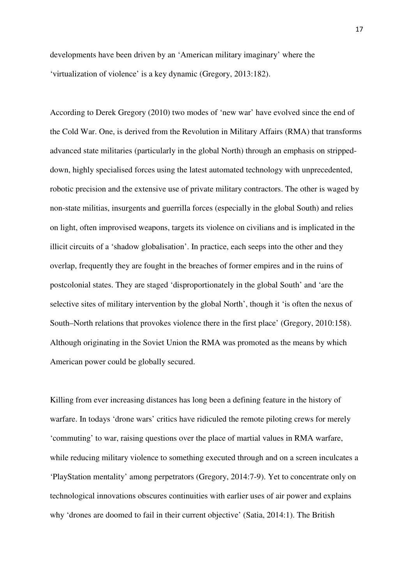developments have been driven by an 'American military imaginary' where the 'virtualization of violence' is a key dynamic (Gregory, 2013:182).

According to Derek Gregory (2010) two modes of 'new war' have evolved since the end of the Cold War. One, is derived from the Revolution in Military Affairs (RMA) that transforms advanced state militaries (particularly in the global North) through an emphasis on strippeddown, highly specialised forces using the latest automated technology with unprecedented, robotic precision and the extensive use of private military contractors. The other is waged by non-state militias, insurgents and guerrilla forces (especially in the global South) and relies on light, often improvised weapons, targets its violence on civilians and is implicated in the illicit circuits of a 'shadow globalisation'. In practice, each seeps into the other and they overlap, frequently they are fought in the breaches of former empires and in the ruins of postcolonial states. They are staged 'disproportionately in the global South' and 'are the selective sites of military intervention by the global North', though it 'is often the nexus of South–North relations that provokes violence there in the first place' (Gregory, 2010:158). Although originating in the Soviet Union the RMA was promoted as the means by which American power could be globally secured.

Killing from ever increasing distances has long been a defining feature in the history of warfare. In todays 'drone wars' critics have ridiculed the remote piloting crews for merely 'commuting' to war, raising questions over the place of martial values in RMA warfare, while reducing military violence to something executed through and on a screen inculcates a 'PlayStation mentality' among perpetrators (Gregory, 2014:7-9). Yet to concentrate only on technological innovations obscures continuities with earlier uses of air power and explains why 'drones are doomed to fail in their current objective' (Satia, 2014:1). The British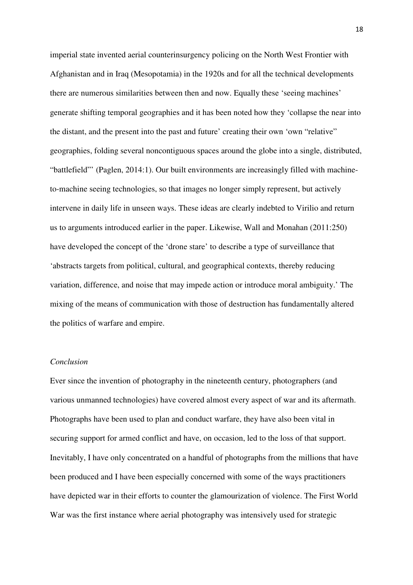imperial state invented aerial counterinsurgency policing on the North West Frontier with Afghanistan and in Iraq (Mesopotamia) in the 1920s and for all the technical developments there are numerous similarities between then and now. Equally these 'seeing machines' generate shifting temporal geographies and it has been noted how they 'collapse the near into the distant, and the present into the past and future' creating their own 'own "relative" geographies, folding several noncontiguous spaces around the globe into a single, distributed, "battlefield"' (Paglen, 2014:1). Our built environments are increasingly filled with machineto-machine seeing technologies, so that images no longer simply represent, but actively intervene in daily life in unseen ways. These ideas are clearly indebted to Virilio and return us to arguments introduced earlier in the paper. Likewise, Wall and Monahan (2011:250) have developed the concept of the 'drone stare' to describe a type of surveillance that 'abstracts targets from political, cultural, and geographical contexts, thereby reducing variation, difference, and noise that may impede action or introduce moral ambiguity.' The mixing of the means of communication with those of destruction has fundamentally altered the politics of warfare and empire.

# *Conclusion*

Ever since the invention of photography in the nineteenth century, photographers (and various unmanned technologies) have covered almost every aspect of war and its aftermath. Photographs have been used to plan and conduct warfare, they have also been vital in securing support for armed conflict and have, on occasion, led to the loss of that support. Inevitably, I have only concentrated on a handful of photographs from the millions that have been produced and I have been especially concerned with some of the ways practitioners have depicted war in their efforts to counter the glamourization of violence. The First World War was the first instance where aerial photography was intensively used for strategic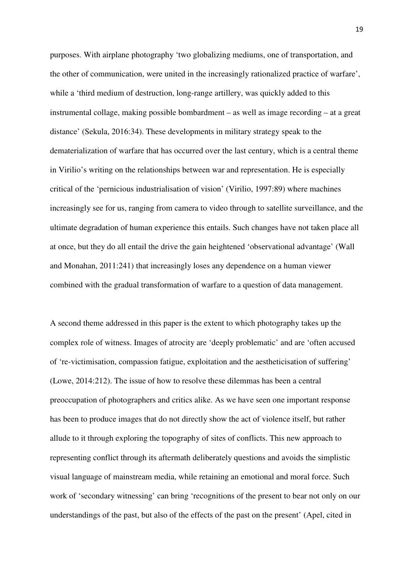purposes. With airplane photography 'two globalizing mediums, one of transportation, and the other of communication, were united in the increasingly rationalized practice of warfare', while a 'third medium of destruction, long-range artillery, was quickly added to this instrumental collage, making possible bombardment – as well as image recording – at a great distance' (Sekula, 2016:34). These developments in military strategy speak to the dematerialization of warfare that has occurred over the last century, which is a central theme in Virilio's writing on the relationships between war and representation. He is especially critical of the 'pernicious industrialisation of vision' (Virilio, 1997:89) where machines increasingly see for us, ranging from camera to video through to satellite surveillance, and the ultimate degradation of human experience this entails. Such changes have not taken place all at once, but they do all entail the drive the gain heightened 'observational advantage' (Wall and Monahan, 2011:241) that increasingly loses any dependence on a human viewer combined with the gradual transformation of warfare to a question of data management.

A second theme addressed in this paper is the extent to which photography takes up the complex role of witness. Images of atrocity are 'deeply problematic' and are 'often accused of 're-victimisation, compassion fatigue, exploitation and the aestheticisation of suffering' (Lowe, 2014:212). The issue of how to resolve these dilemmas has been a central preoccupation of photographers and critics alike. As we have seen one important response has been to produce images that do not directly show the act of violence itself, but rather allude to it through exploring the topography of sites of conflicts. This new approach to representing conflict through its aftermath deliberately questions and avoids the simplistic visual language of mainstream media, while retaining an emotional and moral force. Such work of 'secondary witnessing' can bring 'recognitions of the present to bear not only on our understandings of the past, but also of the effects of the past on the present' (Apel, cited in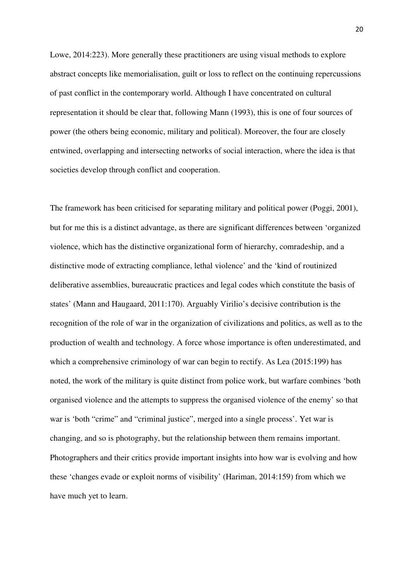Lowe, 2014:223). More generally these practitioners are using visual methods to explore abstract concepts like memorialisation, guilt or loss to reflect on the continuing repercussions of past conflict in the contemporary world. Although I have concentrated on cultural representation it should be clear that, following Mann (1993), this is one of four sources of power (the others being economic, military and political). Moreover, the four are closely entwined, overlapping and intersecting networks of social interaction, where the idea is that societies develop through conflict and cooperation.

The framework has been criticised for separating military and political power (Poggi, 2001), but for me this is a distinct advantage, as there are significant differences between 'organized violence, which has the distinctive organizational form of hierarchy, comradeship, and a distinctive mode of extracting compliance, lethal violence' and the 'kind of routinized deliberative assemblies, bureaucratic practices and legal codes which constitute the basis of states' (Mann and Haugaard, 2011:170). Arguably Virilio's decisive contribution is the recognition of the role of war in the organization of civilizations and politics, as well as to the production of wealth and technology. A force whose importance is often underestimated, and which a comprehensive criminology of war can begin to rectify. As Lea (2015:199) has noted, the work of the military is quite distinct from police work, but warfare combines 'both organised violence and the attempts to suppress the organised violence of the enemy' so that war is 'both "crime" and "criminal justice", merged into a single process'. Yet war is changing, and so is photography, but the relationship between them remains important. Photographers and their critics provide important insights into how war is evolving and how these 'changes evade or exploit norms of visibility' (Hariman, 2014:159) from which we have much yet to learn.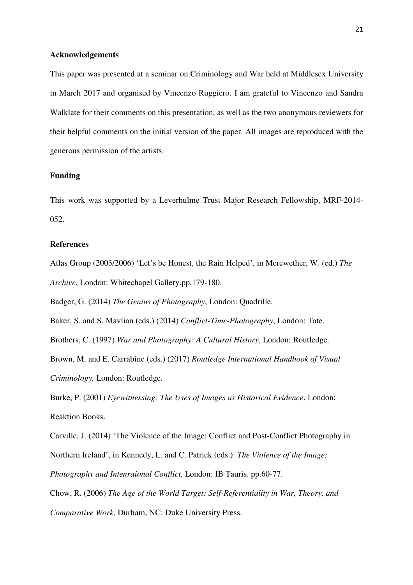### **Acknowledgements**

This paper was presented at a seminar on Criminology and War held at Middlesex University in March 2017 and organised by Vincenzo Ruggiero. I am grateful to Vincenzo and Sandra Walklate for their comments on this presentation, as well as the two anonymous reviewers for their helpful comments on the initial version of the paper. All images are reproduced with the generous permission of the artists.

# **Funding**

This work was supported by a Leverhulme Trust Major Research Fellowship, MRF-2014- 052.

### **References**

Atlas Group (2003/2006) 'Let's be Honest, the Rain Helped', in Merewether, W. (ed.) *The Archive*, London: Whitechapel Gallery.pp.179-180.

Badger, G. (2014) *The Genius of Photography*, London: Quadrille.

Baker, S. and S. Mavlian (eds.) (2014) *Conflict-Time-Photography*, London: Tate.

Brothers, C. (1997) *War and Photography: A Cultural History*, London: Routledge.

Brown, M. and E. Carrabine (eds.) (2017) *Routledge International Handbook of Visual Criminology,* London: Routledge.

Burke, P. (2001) *Eyewitnessing: The Uses of Images as Historical Evidence*, London: Reaktion Books.

Carville, J. (2014) 'The Violence of the Image: Conflict and Post-Conflict Photography in Northern Ireland', in Kennedy, L. and C. Patrick (eds.): *The Violence of the Image: Photography and Intenraional Conflict,* London: IB Tauris. pp.60-77.

Chow, R. (2006) *The Age of the World Target: Self-Referentiality in War, Theory, and Comparative Work,* Durham, NC: Duke University Press.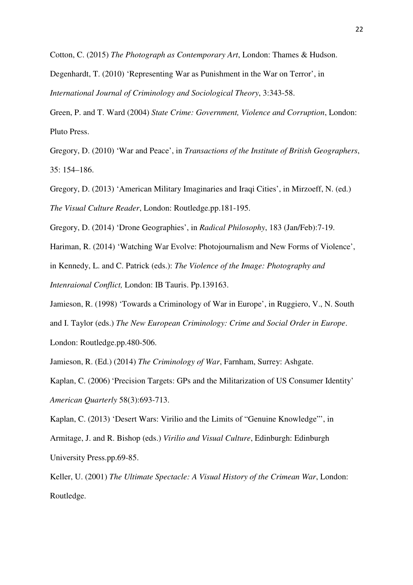Cotton, C. (2015) *The Photograph as Contemporary Art*, London: Thames & Hudson.

Degenhardt, T. (2010) 'Representing War as Punishment in the War on Terror', in *International Journal of Criminology and Sociological Theory*, 3:343-58.

Green, P. and T. Ward (2004) *State Crime: Government, Violence and Corruption*, London: Pluto Press.

Gregory, D. (2010) 'War and Peace', in *Transactions of the Institute of British Geographers*, 35: 154–186.

Gregory, D. (2013) 'American Military Imaginaries and Iraqi Cities', in Mirzoeff, N. (ed.) *The Visual Culture Reader*, London: Routledge.pp.181-195.

Gregory, D. (2014) 'Drone Geographies', in *Radical Philosophy*, 183 (Jan/Feb):7-19.

Hariman, R. (2014) 'Watching War Evolve: Photojournalism and New Forms of Violence',

in Kennedy, L. and C. Patrick (eds.): *The Violence of the Image: Photography and* 

*Intenraional Conflict,* London: IB Tauris. Pp.139163.

Jamieson, R. (1998) 'Towards a Criminology of War in Europe', in Ruggiero, V., N. South and I. Taylor (eds.) *The New European Criminology: Crime and Social Order in Europe*. London: Routledge.pp.480-506.

Jamieson, R. (Ed.) (2014) *The Criminology of War*, Farnham, Surrey: Ashgate.

Kaplan, C. (2006) 'Precision Targets: GPs and the Militarization of US Consumer Identity' *American Quarterly* 58(3):693-713.

Kaplan, C. (2013) 'Desert Wars: Virilio and the Limits of "Genuine Knowledge"', in Armitage, J. and R. Bishop (eds.) *Virilio and Visual Culture*, Edinburgh: Edinburgh University Press.pp.69-85.

Keller, U. (2001) *The Ultimate Spectacle: A Visual History of the Crimean War*, London: Routledge.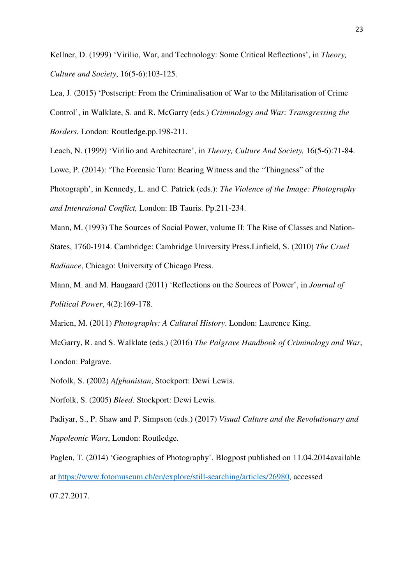Kellner, D. (1999) 'Virilio, War, and Technology: Some Critical Reflections', in *Theory, Culture and Society*, 16(5-6):103-125.

Lea, J. (2015) 'Postscript: From the Criminalisation of War to the Militarisation of Crime Control', in Walklate, S. and R. McGarry (eds.) *Criminology and War: Transgressing the Borders*, London: Routledge.pp.198-211.

Leach, N. (1999) 'Virilio and Architecture', in *Theory, Culture And Society,* 16(5-6):71-84. Lowe, P. (2014): 'The Forensic Turn: Bearing Witness and the "Thingness" of the Photograph', in Kennedy, L. and C. Patrick (eds.): *The Violence of the Image: Photography and Intenraional Conflict,* London: IB Tauris. Pp.211-234.

Mann, M. (1993) The Sources of Social Power, volume II: The Rise of Classes and Nation-States, 1760-1914. Cambridge: Cambridge University Press.Linfield, S. (2010) *The Cruel Radiance*, Chicago: University of Chicago Press.

Mann, M. and M. Haugaard (2011) 'Reflections on the Sources of Power', in *Journal of Political Power*, 4(2):169-178.

Marien, M. (2011) *Photography: A Cultural History*. London: Laurence King.

McGarry, R. and S. Walklate (eds.) (2016) *The Palgrave Handbook of Criminology and War*, London: Palgrave.

Nofolk, S. (2002) *Afghanistan*, Stockport: Dewi Lewis.

Norfolk, S. (2005) *Bleed*. Stockport: Dewi Lewis.

Padiyar, S., P. Shaw and P. Simpson (eds.) (2017) *Visual Culture and the Revolutionary and Napoleonic Wars*, London: Routledge.

Paglen, T. (2014) 'Geographies of Photography'. Blogpost published on 11.04.2014available at https://www.fotomuseum.ch/en/explore/still-searching/articles/26980, accessed 07.27.2017.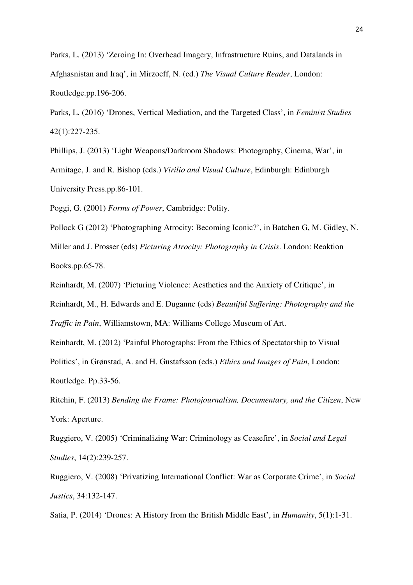Parks, L. (2013) 'Zeroing In: Overhead Imagery, Infrastructure Ruins, and Datalands in Afghasnistan and Iraq', in Mirzoeff, N. (ed.) *The Visual Culture Reader*, London: Routledge.pp.196-206.

Parks, L. (2016) 'Drones, Vertical Mediation, and the Targeted Class', in *Feminist Studies*  42(1):227-235.

Phillips, J. (2013) 'Light Weapons/Darkroom Shadows: Photography, Cinema, War', in Armitage, J. and R. Bishop (eds.) *Virilio and Visual Culture*, Edinburgh: Edinburgh University Press.pp.86-101.

Poggi, G. (2001) *Forms of Power*, Cambridge: Polity.

Pollock G (2012) 'Photographing Atrocity: Becoming Iconic?', in Batchen G, M. Gidley, N. Miller and J. Prosser (eds) *Picturing Atrocity: Photography in Crisis*. London: Reaktion Books.pp.65-78.

Reinhardt, M. (2007) 'Picturing Violence: Aesthetics and the Anxiety of Critique', in Reinhardt, M., H. Edwards and E. Duganne (eds) *Beautiful Suffering: Photography and the Traffic in Pain*, Williamstown, MA: Williams College Museum of Art.

Reinhardt, M. (2012) 'Painful Photographs: From the Ethics of Spectatorship to Visual

Politics', in Grønstad, A. and H. Gustafsson (eds.) *Ethics and Images of Pain*, London: Routledge. Pp.33-56.

Ritchin, F. (2013) *Bending the Frame: Photojournalism, Documentary, and the Citizen*, New York: Aperture.

Ruggiero, V. (2005) 'Criminalizing War: Criminology as Ceasefire', in *Social and Legal Studies*, 14(2):239-257.

Ruggiero, V. (2008) 'Privatizing International Conflict: War as Corporate Crime', in *Social Justics*, 34:132-147.

Satia, P. (2014) 'Drones: A History from the British Middle East', in *Humanity*, 5(1):1-31.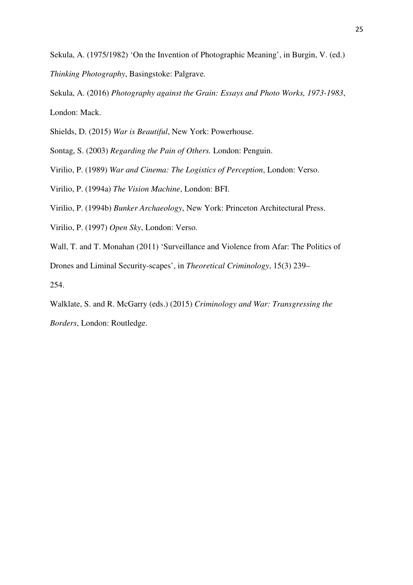Sekula, A. (1975/1982) 'On the Invention of Photographic Meaning', in Burgin, V. (ed.) *Thinking Photography*, Basingstoke: Palgrave.

Sekula, A. (2016) *Photography against the Grain: Essays and Photo Works, 1973-1983*, London: Mack.

Shields, D. (2015) *War is Beautiful*, New York: Powerhouse.

Sontag, S. (2003) *Regarding the Pain of Others.* London: Penguin.

Virilio, P. (1989) *War and Cinema: The Logistics of Perception*, London: Verso.

Virilio, P. (1994a) *The Vision Machine*, London: BFI.

Virilio, P. (1994b) *Bunker Archaeology*, New York: Princeton Architectural Press.

Virilio, P. (1997) *Open Sky*, London: Verso.

Wall, T. and T. Monahan (2011) 'Surveillance and Violence from Afar: The Politics of Drones and Liminal Security-scapes', in *Theoretical Criminology*, 15(3) 239– 254.

Walklate, S. and R. McGarry (eds.) (2015) *Criminology and War: Transgressing the Borders*, London: Routledge.